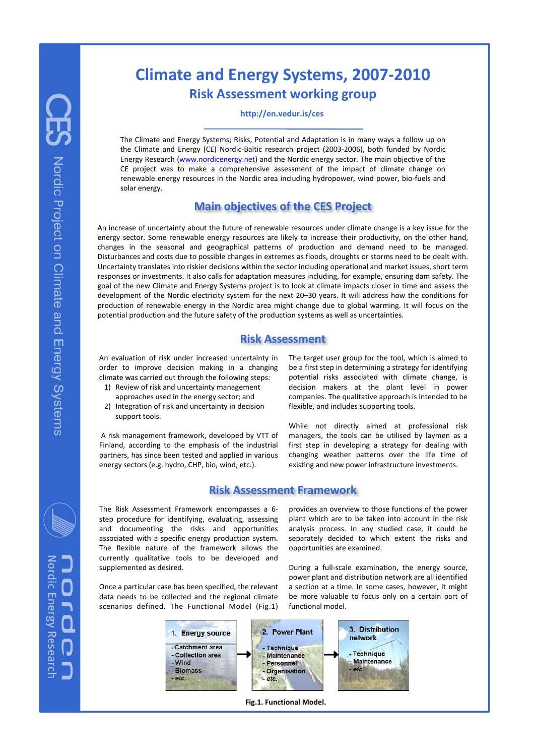# **Climate and Energy Systems, 2007‐2010 Risk Assessment working group**

**http://en.vedur.is/ces**

The Climate and Energy Systems; Risks, Potential and Adaptation is in many ways a follow up on the Climate and Energy (CE) Nordic‐Baltic research project (2003‐2006), both funded by Nordic Energy Research (www.nordicenergy.net) and the Nordic energy sector. The main objective of the CE project was to make a comprehensive assessment of the impact of climate change on renewable energy resources in the Nordic area including hydropower, wind power, bio‐fuels and solar energy.

## **Main objectives of the CES Project**

An increase of uncertainty about the future of renewable resources under climate change is a key issue for the energy sector. Some renewable energy resources are likely to increase their productivity, on the other hand, changes in the seasonal and geographical patterns of production and demand need to be managed. Disturbances and costs due to possible changes in extremes as floods, droughts or storms need to be dealt with. Uncertainty translates into riskier decisions within the sector including operational and market issues, short term responses or investments. It also calls for adaptation measures including, for example, ensuring dam safety. The goal of the new Climate and Energy Systems project is to look at climate impacts closer in time and assess the development of the Nordic electricity system for the next 20–30 years. It will address how the conditions for production of renewable energy in the Nordic area might change due to global warming. It will focus on the potential production and the future safety of the production systems as well as uncertainties.

#### **Risk Assessment**

An evaluation of risk under increased uncertainty in order to improve decision making in a changing climate was carried out through the following steps:

- 1) Review of risk and uncertainty management approaches used in the energy sector; and
- 2) Integration of risk and uncertainty in decision support tools.

A risk management framework, developed by VTT of Finland, according to the emphasis of the industrial partners, has since been tested and applied in various energy sectors (e.g. hydro, CHP, bio, wind, etc.).

The target user group for the tool, which is aimed to be a first step in determining a strategy for identifying potential risks associated with climate change, is decision makers at the plant level in power companies. The qualitative approach is intended to be flexible, and includes supporting tools.

While not directly aimed at professional risk managers, the tools can be utilised by laymen as a first step in developing a strategy for dealing with changing weather patterns over the life time of existing and new power infrastructure investments.

### **Risk Assessment Framework**

The Risk Assessment Framework encompasses a 6‐ step procedure for identifying, evaluating, assessing and documenting the risks and opportunities associated with a specific energy production system. The flexible nature of the framework allows the currently qualitative tools to be developed and supplemented as desired.

Once a particular case has been specified, the relevant data needs to be collected and the regional climate scenarios defined. The Functional Model (Fig.1) provides an overview to those functions of the power plant which are to be taken into account in the risk analysis process. In any studied case, it could be separately decided to which extent the risks and opportunities are examined.

During a full‐scale examination, the energy source, power plant and distribution network are all identified a section at a time. In some cases, however, it might be more valuable to focus only on a certain part of functional model.



**Fig.1. Functional Model.**